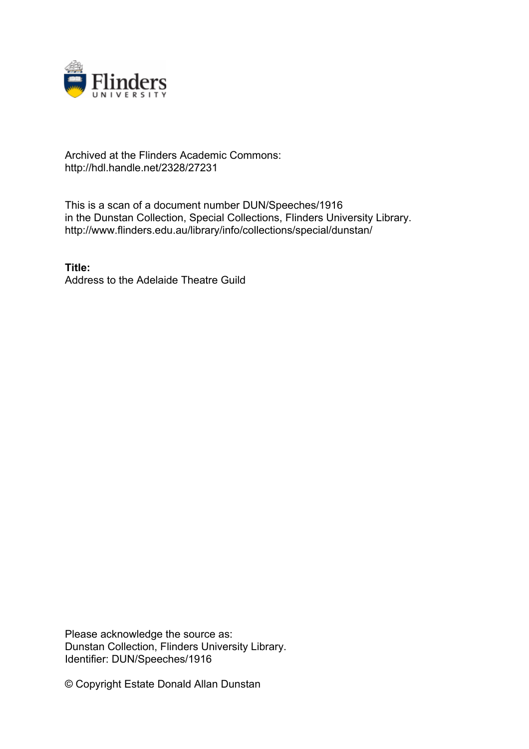

## Archived at the Flinders Academic Commons: http://hdl.handle.net/2328/27231

This is a scan of a document number DUN/Speeches/1916 in the Dunstan Collection, Special Collections, Flinders University Library. http://www.flinders.edu.au/library/info/collections/special/dunstan/

**Title:** Address to the Adelaide Theatre Guild

Please acknowledge the source as: Dunstan Collection, Flinders University Library. Identifier: DUN/Speeches/1916

© Copyright Estate Donald Allan Dunstan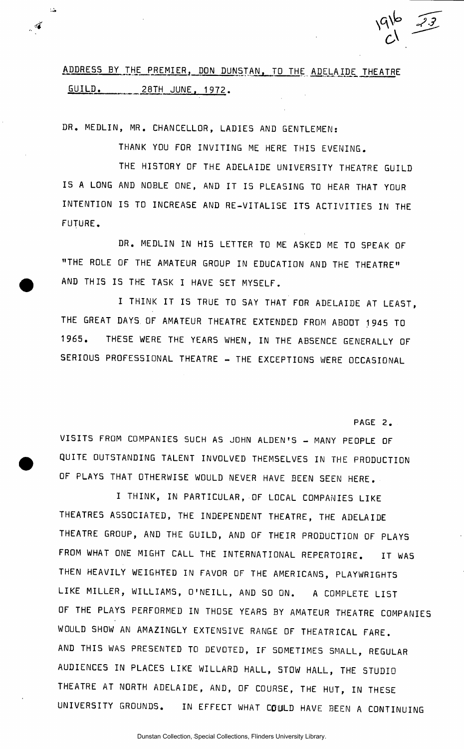# ADDRESS BY THE PREMIER, DON DUNSTAN, TO THE ADELAIDE THEATRE GUILD. 28TH JUNE. 1972.

DR. MEDLIN, MR. CHANCELLOR, LADIES AND GENTLEMEN:

 $\Delta$ 

 $\tilde{\mathcal{L}}$ 

THANK YOU FOR INVITING ME HERE THIS EVENING.

THE HISTORY OF THE ADELAIDE UNIVERSITY THEATRE GUILD IS A LONG AND NOBLE ONE, AND IT IS PLEASING TO HEAR THAT YOUR INTENTION IS TO INCREASE AND RE-VITALISE ITS ACTIVITIES IN THE FUTURE.

DR. MEDLIN IN HIS LETTER TO ME ASKED ME TO SPEAK OF "THE ROLE OF THE AMATEUR GROUP IN EDUCATION AND THE THEATRE" AND THIS IS THE TASK I HAVE SET MYSELF.

I THINK IT IS TRUE TO SAY THAT FOR ADELAIDE AT LEAST, THE GREAT DAYS. OF AMATEUR THEATRE EXTENDED FROM ABOOT 1945 TO 1965. THESE WERE THE YEARS WHEN, IN THE ABSENCE GENERALLY OF SERIOUS PROFESSIONAL THEATRE - THE EXCEPTIONS WERE OCCASIONAL

PAGE 2.

 $C_1$  —  $C_2$ 

VISITS FROM COMPANIES SUCH AS JOHN ALDEN'S - MANY PEOPLE OF QUITE OUTSTANDING TALENT INVOLVED THEMSELVES IN THE PRODUCTION OF PLAYS THAT OTHERWISE WOULD NEVER HAVE BEEN SEEN HERE.

I THINK, IN PARTICULAR, OF LOCAL COMPANIES LIKE THEATRES ASSOCIATED, THE INDEPENDENT THEATRE, THE ADELAIDE THEATRE GROUP, AND THE GUILD, AND OF THEIR PRODUCTION OF PLAYS FROM WHAT ONE MIGHT CALL THE INTERNATIONAL REPERTOIRE. IT WAS THEN HEAVILY WEIGHTED IN FAVOR OF THE AMERICANS, PLAYWRIGHTS LIKE MILLER, WILLIAMS, O'NEILL, AND SO ON. A COMPLETE LIST OF THE PLAYS PERFORMED IN THOSE YEARS BY AMATEUR THEATRE COMPANIES WOULD SHOW AN AMAZINGLY EXTENSIVE RANGE OF THEATRICAL FARE. AND THIS WAS PRESENTED TO DEVOTED, IF SOMETIMES SMALL, REGULAR AUDIENCES IN PLACES LIKE WILLARD HALL, STOW HALL, THE STUDIO THEATRE AT NORTH ADELAIDE, AND, OF COURSE, THE HUT, IN THESE UNIVERSITY GROUNDS. IN EFFECT WHAT COULD HAVE BEEN A CONTINUING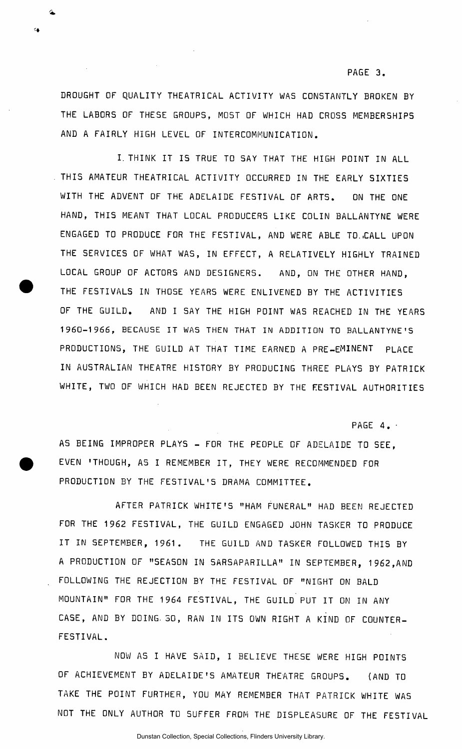#### **PAGE 3.**

DROUGHT OF QUALITY THEATRICAL ACTIVITY WAS CONSTANTLY BROKEN BY THE LABORS OF THESE GROUPS, MOST OF WHICH HAD CROSS MEMBERSHIPS AND A FAIRLY HIGH LEVEL OF INTERCOMMUNICATION.

I. THINK IT IS TRUE TO SAY THAT THE HIGH POINT IN ALL THIS AMATEUR THEATRICAL ACTIVITY OCCURRED IN THE EARLY SIXTIES WITH THE ADVENT OF THE ADELAIDE FESTIVAL OF ARTS. ON THE ONE HAND, THIS MEANT THAT LOCAL PRODUCERS LIKE COLIN BALLANTYNE WERE ENGAGED TO PRODUCE FOR THE FESTIVAL, AND WERE ABLE TO..CALL UPON THE SERVICES OF WHAT WAS, IN EFFECT, A RELATIVELY HIGHLY TRAINED LOCAL GROUP OF ACTORS AND DESIGNERS. AND, ON THE OTHER HAND, THE FESTIVALS IN THOSE YEARS WERE ENLIVENED BY THE ACTIVITIES OF THE GUILD. AND I SAY THE HIGH POINT WAS REACHED IN THE YEARS 1960-19 *6 6 ,* BECAUSE IT WAS THEN THAT IN ADDITION TO BALLANTYNE'S PRODUCTIONS, THE GUILD AT THAT TIME EARNED A PRE-EMINENT PLACE IN AUSTRALIAN THEATRE HISTORY BY PRODUCING THREE PLAYS BY PATRICK WHITE, TWO OF WHICH HAD BEEN REJECTED BY THE FESTIVAL AUTHORITIES

PAGE  $4.$ 

AS BEING IMPROPER PLAYS - FOR THE PEOPLE OF ADELAIDE TO SEE. EVEN 'THOUGH, AS I REMEMBER IT, THEY WERE RECOMMENDED FOR PRODUCTION BY THE FESTIVAL'S DRAMA COMMITTEE.

AFTER PATRICK WHITE'S "HAM FUNERAL" HAD BEEN REJECTED FOR THE 1962 FESTIVAL, THE GUILD ENGAGED JOHN TASKER TO PRODUCE IT IN SEPTEMBER, 1961. THE GUILD AND TASKER FOLLOWED THIS BY A PRODUCTION OF "SEASON IN SARSAPARILLA" IN SEPTEMBER, 1962,AND FOLLOWING THE REJECTION BY THE FESTIVAL OF "NIGHT ON BALD MOUNTAIN" FOR THE 1964 FESTIVAL, THE GUILD PUT IT ON IN ANY CASE, AND BY DOING 30, RAN IN ITS OWN RIGHT A KIND OF COUNTER-FESTIVAL.

NOW AS I HAVE SAID, I BELIEVE THESE WERE HIGH POINTS OF ACHIEVEMENT BY ADELAIDE'S AMATEUR THEATRE GROUPS. (AND TO TAKE THE POINT FURTHER, YOU MAY REMEMBER THAT PATRICK WHITE WAS NOT THE ONLY AUTHOR TO 5UFFER FROM THE DISPLEASURE OF THE FESTIVAL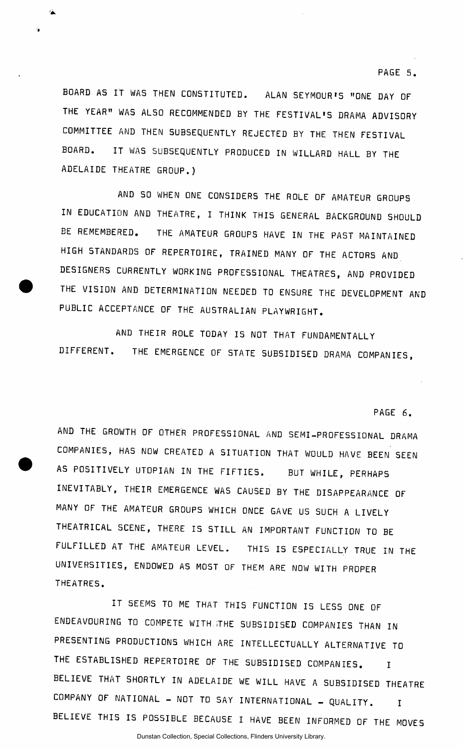**PAGE 5.** 

BOARD AS IT WAS THEN CONSTITUTED. ALAN SEYMOUR'S "ONE DAY OF THE YEAR" WAS ALSO RECOMMENDED BY THE FESTIVAL'S DRAMA ADVISORY COMMITTEE AND THEN SUBSEQUENTLY REJECTED BY THE THEN FESTIVAL BOARD. IT WAS SUBSEQUENTLY PRODUCED IN WILLARD HALL BY THE ADELAIDE THEATRE GROUP.)

AND SO WHEN ONE CONSIDERS THE ROLE OF AMATEUR GROUPS IN EDUCATION AND THEATRE, I THINK THIS GENERAL BACKGROUND SHOULD BE REMEMBERED. THE AMATEUR GROUPS HAVE IN THE PAST MAINTAINED HIGH STANDARDS OF REPERTOIRE, TRAINED MANY OF THE ACTORS AND DESIGNERS CURRENTLY WORKING PROFESSIONAL THEATRES, AND PROVIDED THE VISION AND DETERMINATION NEEDED TO ENSURE THE DEVELOPMENT AND PUBLIC ACCEPTANCE OF THE AUSTRALIAN PLAYWRIGHT.

AND THEIR ROLE TODAY IS NOT THAT FUNDAMENTALLY DIFFERENT. THE EMERGENCE OF STATE SUBSIDISED DRAMA COMPANIES,

PAGE 6.

AND THE GROWTH OF OTHER PROFESSIONAL AND SEMI-PROFESSIONAL DRAMA COMPANIES, HAS NOW CREATED A SITUATION THAT WOULD HAVE BEEN SEEN AS POSITIVELY UTOPIAN IN THE FIFTIES. BUT WHILE, PERHAPS INEVITABLY, THEIR EMERGENCE WAS CAUSED BY THE DISAPPEARANCE OF MANY OF THE AMATEUR GROUPS WHICH ONCE GAVE US SUCH A LIVELY THEATRICAL SCENE, THERE IS STILL AN IMPORTANT FUNCTION TO BE FULFILLED AT THE AMATEUR LEVEL. THIS IS ESPECIALLY TRUE IN THE UNIVERSITIES, ENDOWED AS MOST OF THEM ARE NOW WITH PROPER THEATRES.

IT SEEMS TO ME THAT THIS FUNCTION IS LESS ONE OF ENDEAVOURING TO COMPETE WITH.iTHE SUBSIDISED COMPANIES THAN IN PRESENTING PRODUCTIONS WHICH ARE INTELLECTUALLY ALTERNATIVE TO THE ESTABLISHED REPERTOIRE OF THE SUBSIDISED COMPANIES. I BELIEVE THAT SHORTLY IN ADELAIDE WE WILL HAVE A SUBSIDISED THEATRE COMPANY OF NATIONAL - NOT TO SAY INTERNATIONAL - QUALITY. I BELIEVE THIS IS POSSIBLE BECAUSE I HAVE BEEN INFORMED OF THE MOVES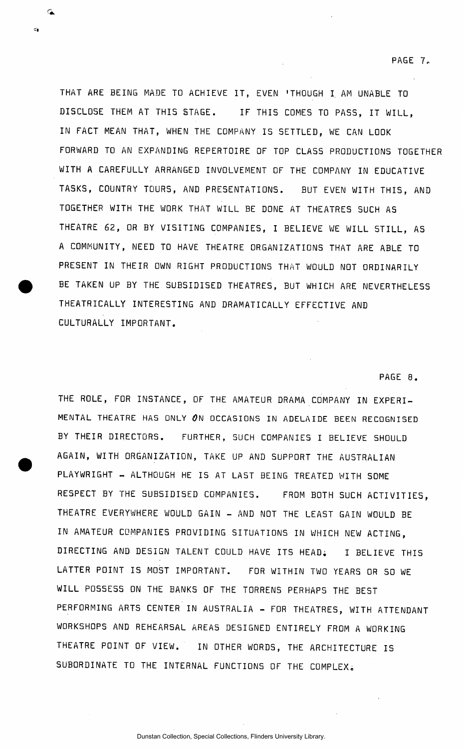THAT ARE BEING MADE TO ACHIEVE IT, EVEN 'THOUGH I AM UNABLE TO DISCLOSE THEM AT THIS STAGE. IF THIS COMES TO PASS, IT WILL, IN FACT MEAN THAT, WHEN THE COMPANY IS SETTLED, WE CAN LOOK FORWARD TO AN EXPANDING REPERTOIRE OF TOP CLASS PRODUCTIONS TOGETHER WITH A CAREFULLY ARRANGED INVOLVEMENT OF THE COMPANY IN EDUCATIVE TASKS, COUNTRY TOURS, AND PRESENTATIONS. BUT EVEN WITH THIS, AND TOGETHER WITH THE WORK THAT WILL BE DONE AT THEATRES SUCH AS THEATRE 62, OR BY VISITING COMPANIES, I BELIEVE WE WILL STILL, AS A COMMUNITY, NEED TO HAVE THEATRE ORGANIZATIONS THAT ARE ABLE TO PRESENT IN THEIR OWN RIGHT PRODUCTIONS THAT WOULD NOT ORDINARILY BE TAKEN UP BY THE SUBSIDISED THEATRES, BUT WHICH ARE NEVERTHELESS THEATRICALLY INTERESTING AND DRAMATICALLY EFFECTIVE AND CULTURALLY IMPORTANT.

PAGE 8.

THE ROLE, FOR INSTANCE, OF THE AMATEUR DRAMA COMPANY IN EXPERI-MENTAL THEATRE HAS ONLY 0N OCCASIONS IN ADELAIDE BEEN RECOGNISED BY THEIR DIRECTORS. FURTHER, SUCH COMPANIES I BELIEVE SHOULD AGAIN, WITH ORGANIZATION, TAKE UP AND SUPPORT THE AUSTRALIAN PLAYWRIGHT - ALTHOUGH HE IS AT LAST BEING TREATED WITH SOME RESPECT BY THE SUBSIDISED COMPANIES. FROM BOTH SUCH ACTIVITIES , THEATRE EVERYWHERE WOULD GAIN - AND NOT THE LEAST GAIN WOULD BE IN AMATEUR COMPANIES PROVIDING SITUATIONS IN WHICH NEW ACTING, DIRECTING AND DESIGN TALENT COULD HAVE ITS HEAD; I BELIEVE THIS LATTER POINT IS MOST IMPORTANT. FOR WITHIN TWO YEARS OR SO WE WILL POSSESS ON THE BANKS OF THE TORRENS PERHAPS THE BEST PERFORMING ARTS CENTER IN AUSTRALIA - FOR THEATRES, WITH ATTENDANT WORKSHOPS AND REHEARSAL AREAS DESIGNED ENTIRELY FROM A WORKING THEATRE POINT OF VIEW. IN OTHER WORDS, THE ARCHITECTURE IS SUBORDINATE TO THE INTERNAL FUNCTIONS OF THE COMPLEX;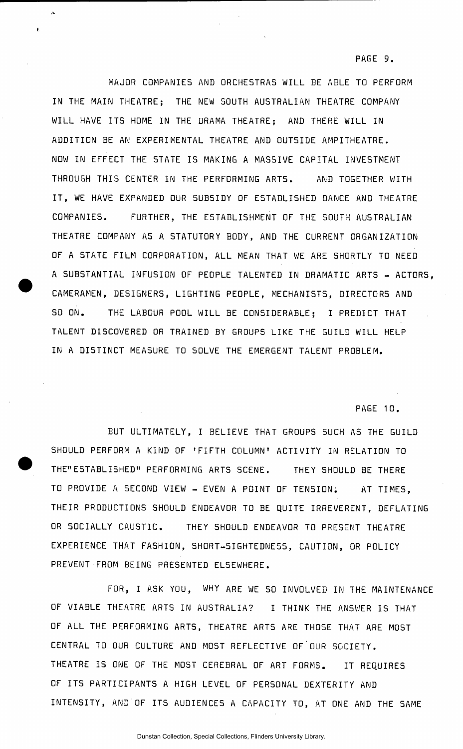MAJOR COMPANIES AND ORCHESTRAS WILL BE ABLE TO PERFORM IN THE MAIN THEATRE; THE NEW SOUTH AUSTRALIAN THEATRE COMPANY WILL HAVE ITS HOME IN THE DRAMA THEATRE; AND THERE WILL IN ADDITION BE AN EXPERIMENTAL THEATRE AND OUTSIDE AMPITHEATRE. NOW IN EFFECT THE STATE IS MAKING A MASSIVE CAPITAL INVESTMENT THROUGH THIS CENTER IN THE PERFORMING ARTS. AND TOGETHER WITH IT, WE HAVE EXPANDED OUR SUBSIDY OF ESTABLISHED DANCE AND THEATRE COMPANIES. FURTHER, THE ESTABLISHMENT OF THE SOUTH AUSTRALIAN THEATRE COMPANY AS A STATUTORY BODY, AND THE CURRENT ORGANIZATION OF A STATE FILM CORPORATION, ALL MEAN THAT WE ARE SHORTLY TO NEED A SUBSTANTIAL INFUSION OF PEOPLE TALENTED IN DRAMATIC ARTS - ACTORS, CAMERAMEN, DESIGNERS, LIGHTING PEOPLE, MECHANISTS, DIRECTORS AND SO ON. THE LABOUR POOL WILL BE CONSIDERABLE; I PREDICT THAT TALENT DISCOVERED OR TRAINED BY GROUPS LIKE THE GUILD WILL HELP IN A DISTINCT MEASURE TO SOLVE THE EMERGENT TALENT PROBLEM.

PAGE 10.

BUT ULTIMATELY, I BELIEVE THAT GROUPS SUCH AS THE GUILD SHOULD PERFORM A KIND OF 'FIFTH COLUMN' ACTIVITY IN RELATION TO THE"ESTABLISHED" PERFORMING ARTS SCENE. THEY SHOULD BE THERE TO PROVIDE A SECOND VIEW - EVEN A POINT OF TENSION. AT TIMES, THEIR PRODUCTIONS SHOULD ENDEAVOR TO BE QUITE IRREVERENT, DEFLATING OR SOCIALLY CAUSTIC. THEY SHOULD ENDEAVOR TO PRESENT THEATRE EXPERIENCE THAT FASHION, SHORT-SIGHTEDNESS, CAUTION, OR POLICY PREVENT FROM BEING PRESENTED ELSEWHERE.

FOR, I ASK YOU, WHY ARE WE SO INVOLVED IN THE MAINTENANCE OF VIABLE THEATRE ARTS IN AUSTRALIA? I THINK THE ANSWER IS THAT OF ALL THE PERFORMING ARTS, THEATRE ARTS ARE THOSE THAT ARE MOST CENTRAL TO OUR CULTURE AND MOST REFLECTIVE OF OUR SOCIETY. THEATRE IS ONE OF THE MOST CEREBRAL OF ART FORMS. IT REQUIRES OF ITS PARTICIPANTS A HIGH LEVEL OF PERSONAL DEXTERITY AND INTENSITY, AND OF ITS AUDIENCES A CAPACITY TO, AT ONE AND THE SAME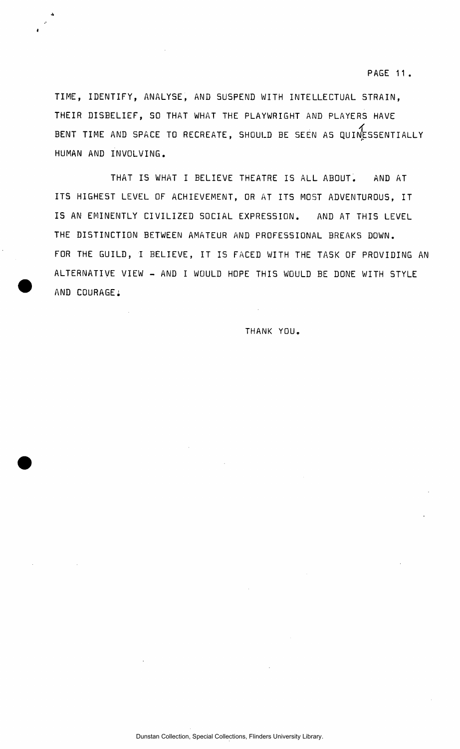TIME, IDENTIFY, ANALYSE, AND SUSPEND WITH INTELLECTUAL STRAIN, THEIR DISBELIEF, SO THAT WHAT THE PLAYWRIGHT AND PLAYERS HAVE BENT TIME AND SPACE TO RECREATE, SHOULD BE SEEN AS QUINESSENTIALLY HUMAN AND INVOLVING.

THAT IS WHAT I BELIEVE THEATRE IS ALL ABOUT. AND AT ITS HIGHEST LEVEL OF ACHIEVEMENT, OR AT ITS MOST ADVENTUROUS, IT IS AN EMINENTLY CIVILIZED SOCIAL EXPRESSION. AND AT THIS LEVEL THE DISTINCTION BETWEEN AMATEUR AND PROFESSIONAL BREAKS DOWN. FOR THE GUILD, I BELIEVE, IT IS FACED WITH THE TASK OF PROVIDING AN ALTERNATIVE VIEW - AND I WOULD HOPE THIS WOULD BE DONE WITH STYLE AND COURAGE:

THANK YOU.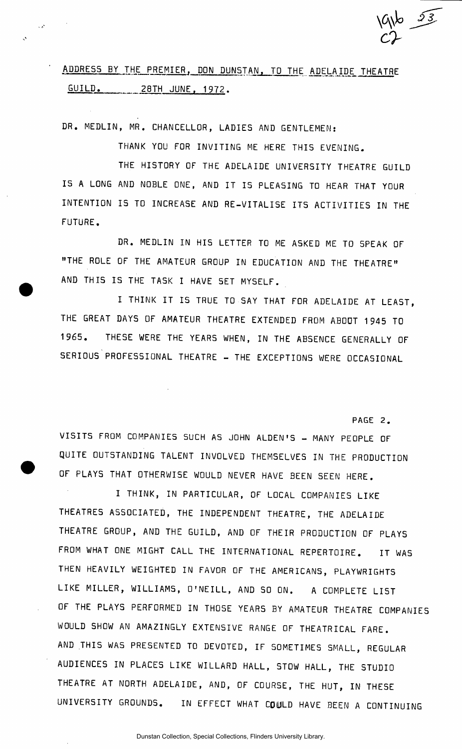# ADDRESS BY THE PREMIER, DON DUNSTAN, TO THE ADELAIDE THEATRE GUILD. 28TH JUNE. 1972.

DR. MEDLIN, MR. CHANCELLOR, LADIES AND GENTLEMEN:

 $\mathcal{L}(\mathcal{S})$ 

THANK YOU FOR INVITING ME HERE THIS EVENING.

THE HISTORY OF THE ADELAIDE UNIVERSITY THEATRE GUILD IS A LONG AND NOBLE ONE, AND IT IS PLEASING TO HEAR THAT YOUR INTENTION IS TO INCREASE AND RE-VITALISE ITS ACTIVITIES IN THE FUTURE.

DR. MEDLIN IN HIS LETTER TO ME ASKED ME TO SPEAK OF "THE ROLE OF THE AMATEUR GROUP IN EDUCATION AND THE THEATRE" AND THIS IS THE TASK I HAVE SET MYSELF.

I THINK IT IS TRUE TO SAY THAT FOR ADELAIDE AT LEAST, THE GREAT DAYS OF AMATEUR THEATRE EXTENDED FROM ABOOT 1945 TO 1965. THESE WERE THE YEARS WHEN, IN THE ABSENCE GENERALLY OF SERIOUS PROFESSIONAL THEATRE - THE EXCEPTIONS WERE OCCASIONAL

PAGE 2.

*\0\$O JJ.* 

 $c^2$ 

VISITS FROM COMPANIES SUCH AS JOHN ALDEN'S - MANY PEOPLE OF QUITE OUTSTANDING TALENT INVOLVED THEMSELVES IN THE PRODUCTION OF PLAYS THAT OTHERWISE WOULD NEVER HAVE BEEN SEEN HERE.

I THINK, IN PARTICULAR, OF LOCAL COMPANIES LIKE THEATRES ASSOCIATED, THE INDEPENDENT THEATRE, THE ADELAIDE THEATRE GROUP, AND THE GUILD, AND OF THEIR PRODUCTION OF PLAYS FROM WHAT ONE MIGHT CALL THE INTERNATIONAL REPERTOIRE. IT WAS THEN HEAVILY WEIGHTED IN FAVOR OF THE AMERICANS, PLAYWRIGHTS LIKE MILLER, WILLIAMS, O'NEILL, AND SO ON. A COMPLETE LIST OF THE PLAYS PERFORMED IN THOSE YEARS BY AMATEUR THEATRE COMPANIES WOULD SHOW AN AMAZINGLY EXTENSIVE RANGE OF THEATRICAL FARE. AND THIS WAS PRESENTED TO DEVOTED, IF SOMETIMES SMALL, REGULAR AUDIENCES IN PLACES LIKE WILLARD HALL, STOW HALL, THE STUDIO THEATRE AT NORTH ADELAIDE, AND, OF COURSE, THE HUT, IN THESE UNIVERSITY GROUNDS. IN EFFECT WHAT COULD HAVE BEEN A CONTINUING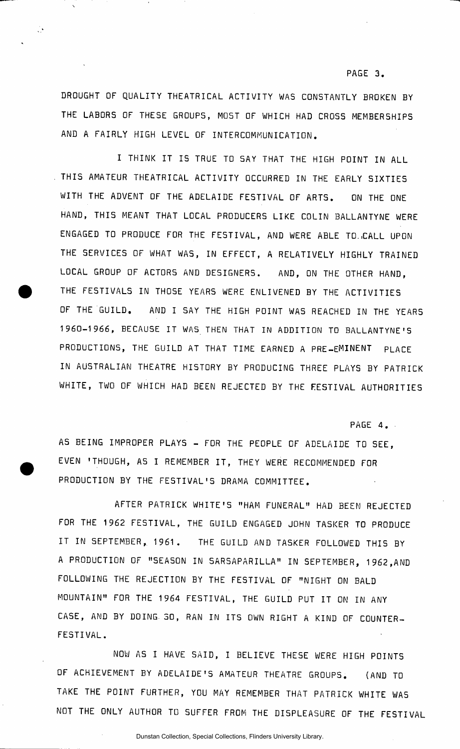#### **PAGE 3.**

DROUGHT OF QUALITY THEATRICAL ACTIVITY WAS CONSTANTLY BROKEN BY THE LABORS OF THESE GROUPS, MOST OF WHICH HAD CROSS MEMBERSHIPS AND A FAIRLY HIGH LEVEL OF INTERCOMMUNICATION.

 $\ddot{\psi}$ 

I THINK IT IS TRUE TO SAY THAT THE HIGH POINT IN ALL THIS AMATEUR THEATRICAL ACTIVITY OCCURRED IN THE EARLY SIXTIES WITH THE ADVENT OF THE ADELAIDE FESTIVAL OF ARTS. ON THE ONE HAND, THIS MEANT THAT LOCAL PRODUCERS LIKE COLIN BALLANTYNE WERE ENGAGED TO PRODUCE FOR THE FESTIVAL, AND WERE ABLE TO..CALL UPON THE SERVICES OF WHAT WAS, IN EFFECT, A RELATIVELY HIGHLY TRAINED LOCAL GROUP OF ACTORS AND DESIGNERS. AND, ON THE OTHER HAND, THE FESTIVALS IN THOSE YEARS WERE ENLIVENED BY THE ACTIVITIES OF THE GUILD. AND I SAY THE HIGH POINT WAS REACHED IN THE YEARS 1960-1966, BECAUSE IT WAS THEN THAT IN ADDITION TO BALLANTYNE'S PRODUCTIONS, THE GUILD AT THAT TIME EARNED A PRE-EMINENT PLACE IN AUSTRALIAN THEATRE HISTORY BY PRODUCING THREE PLAYS BY PATRICK WHITE, TWO OF WHICH HAD BEEN REJECTED BY THE FESTIVAL AUTHORITIES

PAGE 4.

AS BEING IMPROPER PLAYS - FOR THE PEOPLE OF ADELAIDE TO SEE, EVEN 'THOUGH, AS I REMEMBER IT , THEY WERE RECOMMENDED FOR PRODUCTION BY THE FESTIVAL'S DRAMA COMMITTEE.

AFTER PATRICK WHITE'S "HAM FUNERAL" HAD BEEN REJECTED FOR THE 1962 FESTIVAL, THE GUILD ENGAGED JOHN TASKER TO PRODUCE IT IN SEPTEMBER, 1961. THE GUILD AND TASKER FOLLOWED THIS BY A PRODUCTION OF "SEASON IN SARSAPARILLA" IN SEPTEMBER, 1962,AND FOLLOWING THE REJECTION BY THE FESTIVAL OF "NIGHT ON BALD MOUNTAIN" FOR THE 1964 FESTIVAL, THE GUILD PUT IT ON IN ANY CASE, AND BY DOING- 30, RAN IN ITS OWN RIGHT A KIND OF COUNTER-FESTIVAL.

NOW AS I HAVE SAID, I BELIEVE THESE WERE HIGH POINTS OF ACHIEVEMENT BY ADELAIDE'S AMATEUR THEATRE GROUPS. (AND TO TAKE THE POINT FURTHER, YOU MAY REMEMBER THAT PATRICK WHITE WAS NOT THE ONLY AUTHOR TO SUFFER FROM THE DISPLEASURE OF THE FESTIVAL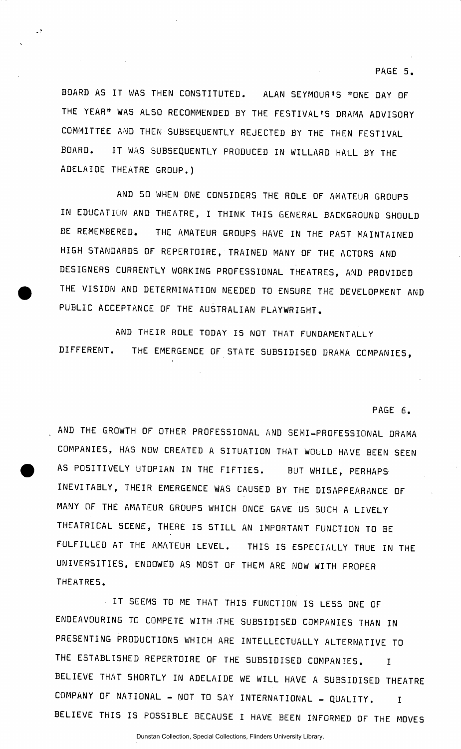### **PAGE 5.**

BOARD AS IT WAS THEN CONSTITUTED. ALAN SEYMOUR'S "ONE DAY OF THE YEAR" WAS ALSO RECOMMENDED BY THE FESTIVAL'S DRAMA ADVISORY COMMITTEE AND THEN SUBSEQUENTLY REJECTED BY THE THEN FESTIVAL BOARD. IT WAS SUBSEQUENTLY PRODUCED IN WILLARD HALL BY THE ADELAIDE THEATRE GROUP.)

AND SO WHEN ONE CONSIDERS THE ROLE OF AMATEUR GROUPS IN EDUCATION AND THEATRE, I THINK THIS GENERAL BACKGROUND SHOULD EE REMEMBERED. THE AMATEUR GROUPS HAVE IN THE PAST MAINTAINED HIGH STANDARDS OF REPERTOIRE, TRAINED MANY OF THE ACTORS AND DESIGNERS CURRENTLY WORKING PROFESSIONAL THEATRES, AND PROVIDED THE VISION AND DETERMINATION NEEDED TO ENSURE THE DEVELOPMENT AND PUBLIC ACCEPTANCE OF THE AUSTRALIAN PLAYWRIGHT.

AND THEIR ROLE TODAY IS NOT THAT FUNDAMENTALLY DIFFERENT. THE EMERGENCE OF STATE SUBSIDISED DRAMA COMPANIES,

### PAGE 6.

AND THE GROWTH OF OTHER PROFESSIONAL AND SEMI-PROFESSIONAL DRAMA COMPANIES, HAS NOW CREATED A SITUATION THAT WOULD HAVE BEEN SEEN AS POSITIVELY UTOPIAN IN THE FIFTIES. BUT WHILE, PERHAPS INEVITABLY, THEIR EMERGENCE WAS CAUSED BY THE DISAPPEARANCE OF MANY OF THE AMATEUR GROUPS WHICH ONCE GAVE US SUCH A LIVELY THEATRICAL SCENE, THERE IS STILL AN IMPORTANT FUNCTION TO BE FULFILLED AT THE AMATEUR LEVEL. THIS IS ESPECIALLY TRUE IN THE UNIVERSITIES, ENDOWED AS MOST OF THEM ARE NOW WITH PROPER THEATRES.

IT SEEMS TO ME THAT THIS FUNCTION IS LESS ONE OF ENDEAVOURING TO COMPETE WITH iTHE SUBSIDISED COMPANIES THAN IN PRESENTING PRODUCTIONS WHICH ARE INTELLECTUALLY ALTERNATIVE TO THE ESTABLISHED REPERTOIRE OF THE SUBSIDISED COMPANIES. I BELIEVE THAT SHORTLY IN ADELAIDE WE WILL HAVE A SUBSIDISED THEATRE COMPANY OF NATIONAL - NOT TO SAY INTERNATIONAL - QUALITY. I BELIEVE THIS IS POSSIBLE BECAUSE I HAVE BEEN INFORMED OF THE MOVES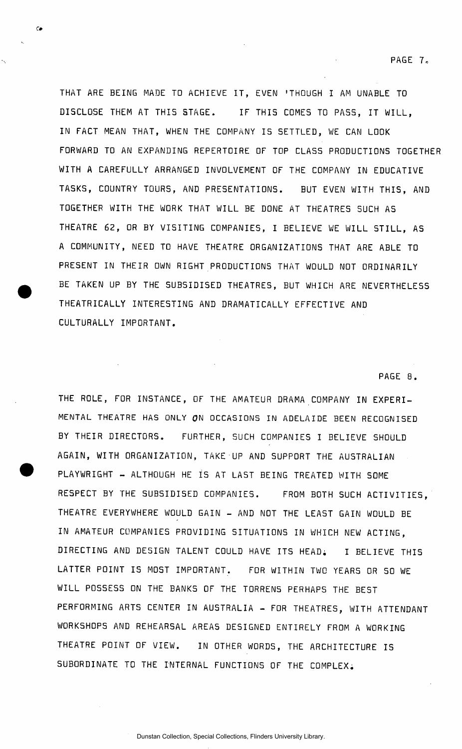THAT ARE BEING MADE TO ACHIEVE IT, EVEN 'THOUGH I AM UNABLE TO DISCLOSE THEM AT THIS STAGE. IF THIS COMES TO PASS, IT WILL, IN FACT MEAN THAT, WHEN THE COMPANY IS SETTLED, WE CAN LOOK FORWARD TO AN EXPANDING REPERTOIRE OF TOP CLASS PRODUCTIONS TOGETHER WITH A CAREFULLY ARRANGED INVOLVEMENT OF THE COMPANY IN EDUCATIVE TASKS, COUNTRY TOURS, AND PRESENTATIONS. BUT EVEN WITH THIS, AND TOGETHER WITH THE WORK THAT WILL BE DONE AT THEATRES SUCH AS THEATRE 62, OR BY VISITING COMPANIES, I BELIEVE WE WILL STILL, AS A COMMUNITY, NEED TO HAVE THEATRE ORGANIZATIONS THAT ARE ABLE TO PRESENT IN THEIR OWN RIGHT PRODUCTIONS THAT WOULD NOT ORDINARILY BE TAKEN UP BY THE SUBSIDISED THEATRES, BUT WHICH ARE NEVERTHELESS THEATRICALLY INTERESTING AND DRAMATICALLY EFFECTIVE AND CULTURALLY IMPORTANT.

 $\epsilon$ 

#### PAGE 8.

THE ROLE, FOR INSTANCE, OF THE AMATEUR DRAMA COMPANY IN EXPERI-MENTAL THEATRE HAS ONLY ON OCCASIONS IN ADELAIDE BEEN RECOGNISED BY THEIR DIRECTORS. FURTHER, SUCH COMPANIES I BELIEVE SHOULD AGAIN, WITH ORGANIZATION, TAKE UP AND SUPPORT THE AUSTRALIAN PLAYWRIGHT - ALTHOUGH HE IS AT LAST BEING TREATED WITH SOME RESPECT BY THE SUBSIDISED COMPANIES. FROM BOTH SUCH ACTIVITIES , THEATRE EVERYWHERE WOULD GAIN - AND NOT THE LEAST GAIN WOULD BE IN AMATEUR COMPANIES PROVIDING SITUATIONS IN WHICH NEW ACTING, DIRECTING AND DESIGN TALENT COULD HAVE ITS HEAD; I BELIEVE THIS LATTER POINT IS MOST IMPORTANT. FOR WITHIN TWO YEARS OR SO WE WILL POSSESS ON THE BANKS OF THE TORRENS PERHAPS THE BEST PERFORMING ARTS CENTER IN AUSTRALIA - FOR THEATRES, WITH ATTENDANT WORKSHOPS AND REHEARSAL AREAS DESIGNED ENTIRELY FROM A WORKING THEATRE POINT OF VIEW. IN OTHER WORDS, THE ARCHITECTURE IS SUBORDINATE TO THE INTERNAL FUNCTIONS OF THE COMPLEX.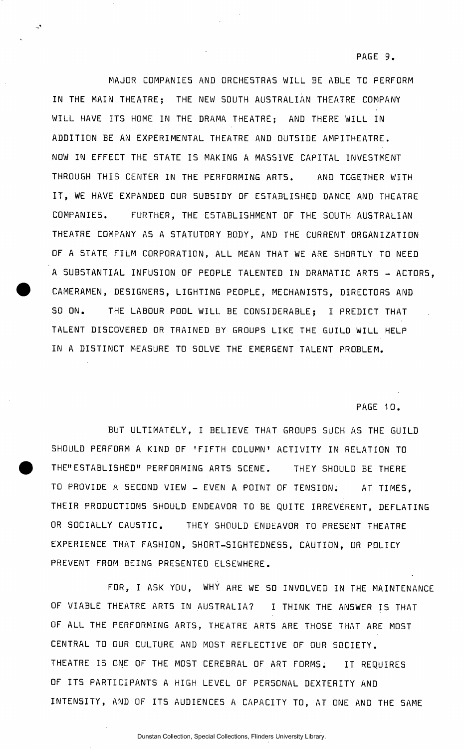MAJOR COMPANIES AND ORCHESTRAS WILL BE ABLE TO PERFORM IN THE MAIN THEATRE; THE NEW SOUTH AUSTRALIAN THEATRE COMPANY WILL HAVE ITS HOME IN THE DRAMA THEATRE; AND THERE WILL IN ADDITION BE AN EXPERIMENTAL THEATRE AND OUTSIDE AMPITHEATRE. NOW IN EFFECT THE STATE IS MAKING A MASSIVE CAPITAL INVESTMENT THROUGH THIS CENTER IN THE PERFORMING ARTS. AND TOGETHER WITH IT, WE HAVE EXPANDED OUR SUBSIDY OF ESTABLISHED DANCE AND THEATRE COMPANIES. FURTHER, THE ESTABLISHMENT OF THE SOUTH AUSTRALIAN THEATRE COMPANY AS A STATUTORY BODY, AND THE CURRENT ORGANIZATION OF A STATE FILM CORPORATION, ALL MEAN THAT WE ARE SHORTLY TO NEED A SUBSTANTIAL INFUSION OF PEOPLE TALENTED IN DRAMATIC ARTS - ACTORS, CAMERAMEN, DESIGNERS, LIGHTING PEOPLE, MECHANISTS, DIRECTORS AND SO ON. THE LABOUR POOL WILL BE CONSIDERABLE; I PREDICT THAT TALENT DISCOVERED OR TRAINED BY GROUPS LIKE THE GUILD WILL HELP IN A DISTINCT MEASURE TO SOLVE THE EMERGENT TALENT PROBLEM.

PAGE 10.

BUT ULTIMATELY, I BELIEVE THAT GROUPS SUCH AS THE GUILD SHOULD PERFORM A KIND OF 'FIFTH COLUMN' ACTIVITY IN RELATION TO THE"ESTABLISHED" PERFORMING ARTS SCENE. THEY SHOULD BE THERE TO PROVIDE A SECOND VIEW - EVEN A POINT OF TENSION. AT TIMES, THEIR PRODUCTIONS SHOULD ENDEAVOR TO BE QUITE IRREVERENT, DEFLATING OR SOCIALLY CAUSTIC. THEY SHOULD ENDEAVOR TO PRESENT THEATRE EXPERIENCE THAT FASHION, SHORT-SIGHTEDNESS, CAUTION, OR POLICY PREVENT FROM BEING PRESENTED ELSEWHERE.

FOR, I ASK YOU, WHY ARE WE SO INVOLVED IN THE MAINTENANCE OF VIABLE THEATRE ARTS IN AUSTRALIA? I THINK THE ANSWER IS THAT OF ALL THE PERFORMING ARTS, THEATRE ARTS ARE THOSE THAT ARE MOST CENTRAL TO OUR CULTURE AND MOST REFLECTIVE OF OUR SOCIETY. THEATRE IS ONE OF THE MOST CEREBRAL OF ART FORMS. IT REQUIRES OF ITS PARTICIPANTS A HIGH LEVEL OF PERSONAL DEXTERITY AND INTENSITY, AND OF ITS AUDIENCES A CAPACITY TO, AT ONE AND THE SAME